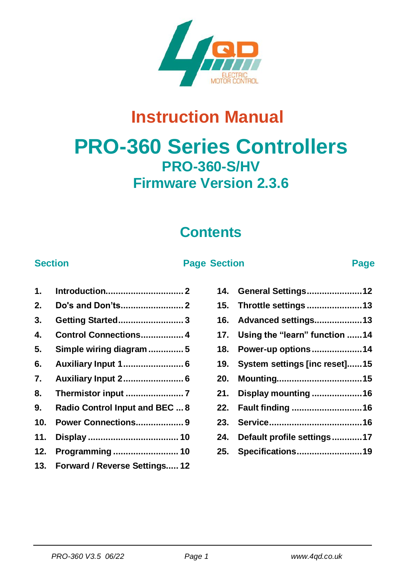

# **Instruction Manual**

# **PRO-360 Series Controllers PRO-360-S/HV Firmware Version 2.3.6**

# **Contents**

#### **Section Page Section Page**

| 2.  | Do's and Don'ts 2                 |
|-----|-----------------------------------|
| 3.  | <b>Getting Started3</b>           |
| 4.  | Control Connections 4             |
| 5.  | Simple wiring diagram 5           |
| 6.  | Auxiliary Input 1 6               |
| 7.  | Auxiliary Input 2 6               |
| 8.  |                                   |
| 9.  | Radio Control Input and BEC  8    |
|     | 10. Power Connections 9           |
| 11. |                                   |
|     | 12. Programming  10               |
|     | 13. Forward / Reverse Settings 12 |

|     | 14. General Settings12            |
|-----|-----------------------------------|
| 15. | Throttle settings 13              |
| 16. | Advanced settings13               |
|     | 17. Using the "learn" function 14 |
| 18. | Power-up options14                |
| 19. | System settings [inc reset]15     |
| 20. |                                   |
| 21. | Display mounting 16               |
|     |                                   |
| 22. | Fault finding 16                  |
| 23. |                                   |
| 24. | Default profile settings17        |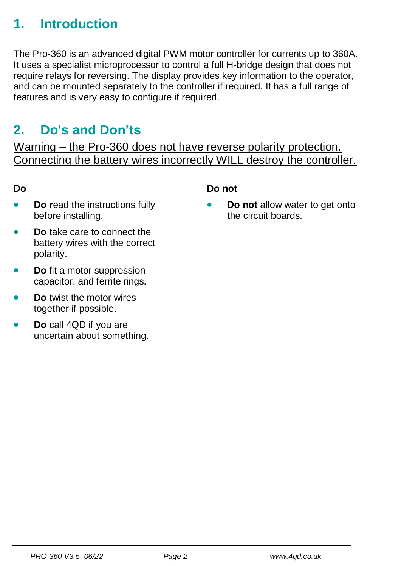## <span id="page-1-0"></span>**1. Introduction**

The Pro-360 is an advanced digital PWM motor controller for currents up to 360A. It uses a specialist microprocessor to control a full H-bridge design that does not require relays for reversing. The display provides key information to the operator, and can be mounted separately to the controller if required. It has a full range of features and is very easy to configure if required.

### <span id="page-1-1"></span>**2. Do's and Don'ts**

Warning – the Pro-360 does not have reverse polarity protection. Connecting the battery wires incorrectly WILL destroy the controller.

#### **Do**

- **Do r**ead the instructions fully before installing.
- **Do** take care to connect the battery wires with the correct polarity.
- **Do** fit a motor suppression capacitor, and ferrite rings.
- **Do** twist the motor wires together if possible.
- <span id="page-1-2"></span>• **Do** call 4QD if you are uncertain about something.

#### **Do not**

• **Do not** allow water to get onto the circuit boards.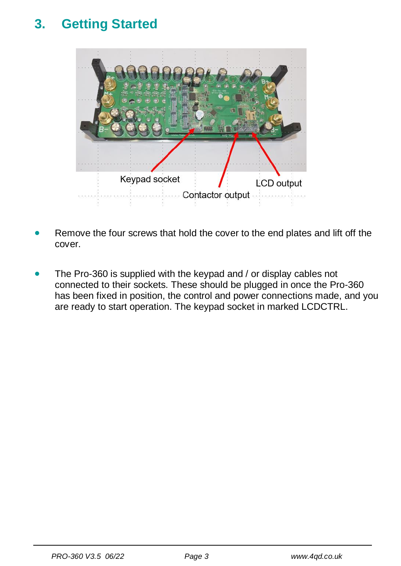# **3. Getting Started**



- Remove the four screws that hold the cover to the end plates and lift off the cover.
- <span id="page-2-0"></span>• The Pro-360 is supplied with the keypad and / or display cables not connected to their sockets. These should be plugged in once the Pro-360 has been fixed in position, the control and power connections made, and you are ready to start operation. The keypad socket in marked LCDCTRL.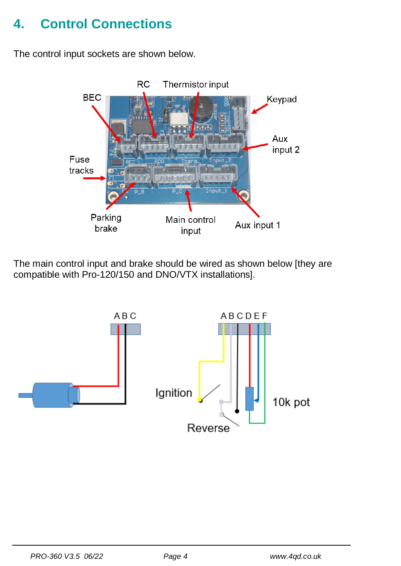# **4. Control Connections**

The control input sockets are shown below.



The main control input and brake should be wired as shown below [they are compatible with Pro-120/150 and DNO/VTX installations].

<span id="page-3-0"></span>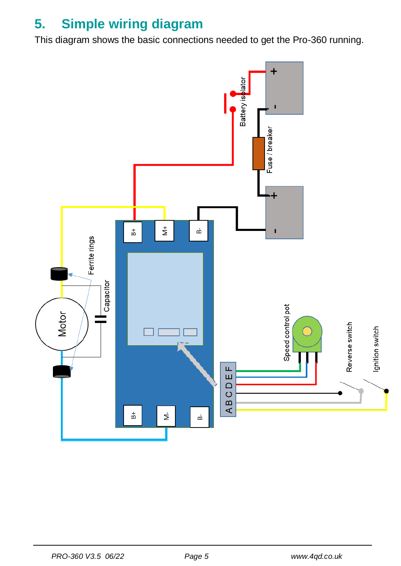# **5. Simple wiring diagram**

This diagram shows the basic connections needed to get the Pro-360 running.

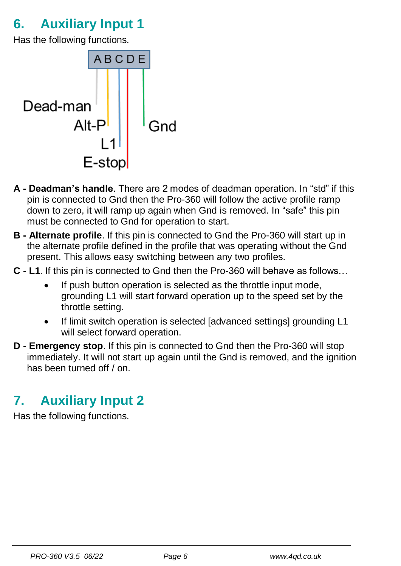# <span id="page-5-0"></span>**6. Auxiliary Input 1**

Has the following functions.



- **A - Deadman's handle**. There are 2 modes of deadman operation. In "std" if this pin is connected to Gnd then the Pro-360 will follow the active profile ramp down to zero, it will ramp up again when Gnd is removed. In "safe" this pin must be connected to Gnd for operation to start.
- **B - Alternate profile**. If this pin is connected to Gnd the Pro-360 will start up in the alternate profile defined in the profile that was operating without the Gnd present. This allows easy switching between any two profiles.
- **C - L1**. If this pin is connected to Gnd then the Pro-360 will behave as follows…
	- If push button operation is selected as the throttle input mode, grounding L1 will start forward operation up to the speed set by the throttle setting.
	- If limit switch operation is selected [advanced settings] grounding L1 will select forward operation.
- **D - Emergency stop**. If this pin is connected to Gnd then the Pro-360 will stop immediately. It will not start up again until the Gnd is removed, and the ignition has been turned off / on.

### <span id="page-5-1"></span>**7. Auxiliary Input 2**

Has the following functions.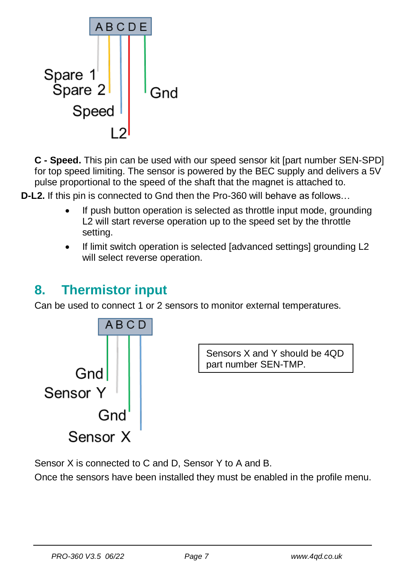

**C - Speed.** This pin can be used with our speed sensor kit [part number SEN-SPD] for top speed limiting. The sensor is powered by the BEC supply and delivers a 5V pulse proportional to the speed of the shaft that the magnet is attached to.

**D-L2.** If this pin is connected to Gnd then the Pro-360 will behave as follows…

- If push button operation is selected as throttle input mode, grounding L2 will start reverse operation up to the speed set by the throttle setting.
- If limit switch operation is selected [advanced settings] grounding L2 will select reverse operation.

### <span id="page-6-0"></span>**8. Thermistor input**

Can be used to connect 1 or 2 sensors to monitor external temperatures.



Sensor X is connected to C and D, Sensor Y to A and B.

<span id="page-6-1"></span>Once the sensors have been installed they must be enabled in the profile menu.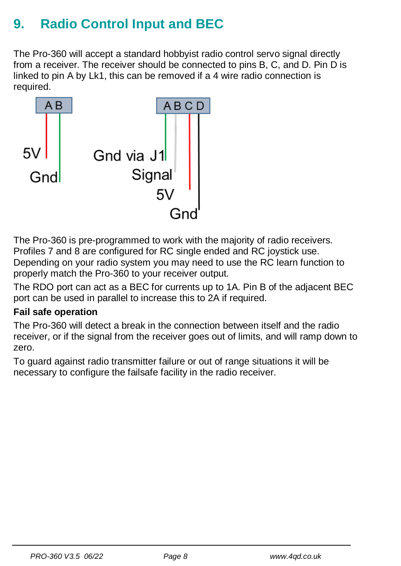# **9. Radio Control Input and BEC**

The Pro-360 will accept a standard hobbyist radio control servo signal directly from a receiver. The receiver should be connected to pins B, C, and D. Pin D is linked to pin A by Lk1, this can be removed if a 4 wire radio connection is required.



The Pro-360 is pre-programmed to work with the majority of radio receivers. Profiles 7 and 8 are configured for RC single ended and RC joystick use. Depending on your radio system you may need to use the RC learn function to properly match the Pro-360 to your receiver output.

The RDO port can act as a BEC for currents up to 1A. Pin B of the adjacent BEC port can be used in parallel to increase this to 2A if required.

### **Fail safe operation**

The Pro-360 will detect a break in the connection between itself and the radio receiver, or if the signal from the receiver goes out of limits, and will ramp down to zero.

<span id="page-7-0"></span>To guard against radio transmitter failure or out of range situations it will be necessary to configure the failsafe facility in the radio receiver.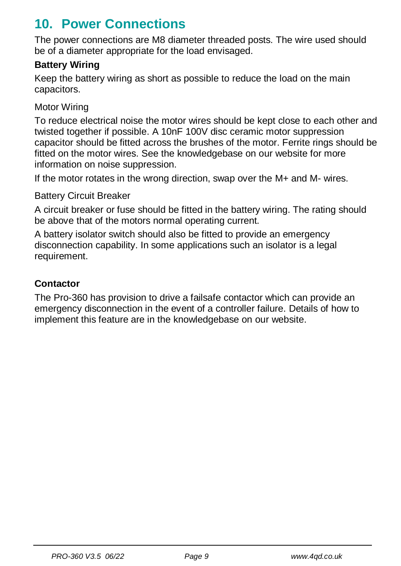### **10. Power Connections**

The power connections are M8 diameter threaded posts. The wire used should be of a diameter appropriate for the load envisaged.

### **Battery Wiring**

Keep the battery wiring as short as possible to reduce the load on the main capacitors.

#### Motor Wiring

To reduce electrical noise the motor wires should be kept close to each other and twisted together if possible. A 10nF 100V disc ceramic motor suppression capacitor should be fitted across the brushes of the motor. Ferrite rings should be fitted on the motor wires. See the knowledgebase on our website for more information on noise suppression.

If the motor rotates in the wrong direction, swap over the M+ and M- wires.

Battery Circuit Breaker

A circuit breaker or fuse should be fitted in the battery wiring. The rating should be above that of the motors normal operating current.

A battery isolator switch should also be fitted to provide an emergency disconnection capability. In some applications such an isolator is a legal requirement.

#### **Contactor**

The Pro-360 has provision to drive a failsafe contactor which can provide an emergency disconnection in the event of a controller failure. Details of how to implement this feature are in the knowledgebase on our website.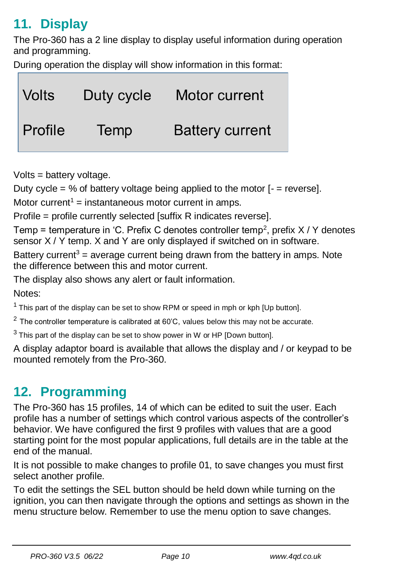# <span id="page-9-0"></span>**11. Display**

The Pro-360 has a 2 line display to display useful information during operation and programming.

During operation the display will show information in this format:



Volts = battery voltage.

Duty cycle = % of battery voltage being applied to the motor  $I =$  reversel.

Motor current<sup>1</sup> = instantaneous motor current in amps.

Profile = profile currently selected [suffix R indicates reverse].

Temp = temperature in 'C. Prefix C denotes controller temp<sup>2</sup>, prefix  $X/Y$  denotes sensor X / Y temp. X and Y are only displayed if switched on in software.

Battery current<sup>3</sup> = average current being drawn from the battery in amps. Note the difference between this and motor current.

The display also shows any alert or fault information.

Notes:

 $1$  This part of the display can be set to show RPM or speed in mph or kph [Up button].

 $2$  The controller temperature is calibrated at 60 $^{\circ}$ C, values below this may not be accurate.

 $3$  This part of the display can be set to show power in W or HP [Down button].

A display adaptor board is available that allows the display and / or keypad to be mounted remotely from the Pro-360.

# <span id="page-9-1"></span>**12. Programming**

The Pro-360 has 15 profiles, 14 of which can be edited to suit the user. Each profile has a number of settings which control various aspects of the controller's behavior. We have configured the first 9 profiles with values that are a good starting point for the most popular applications, full details are in the table at the end of the manual.

It is not possible to make changes to profile 01, to save changes you must first select another profile.

To edit the settings the SEL button should be held down while turning on the ignition, you can then navigate through the options and settings as shown in the menu structure below. Remember to use the menu option to save changes.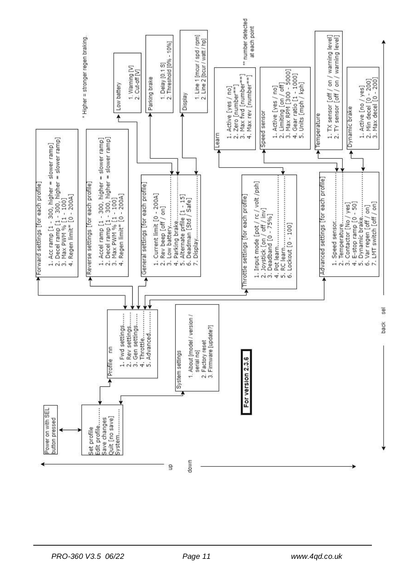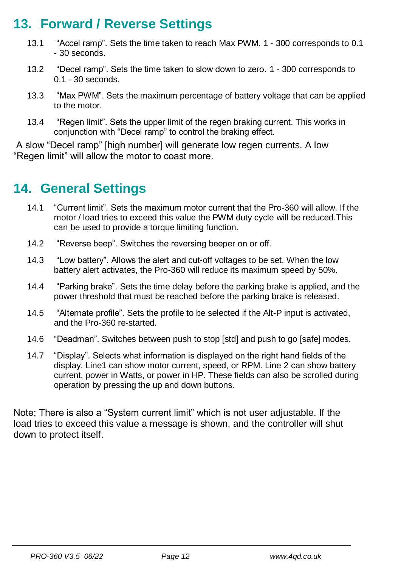### <span id="page-11-0"></span>**13. Forward / Reverse Settings**

- 13.1 "Accel ramp". Sets the time taken to reach Max PWM. 1 300 corresponds to 0.1 - 30 seconds.
- 13.2 "Decel ramp". Sets the time taken to slow down to zero. 1 300 corresponds to 0.1 - 30 seconds.
- 13.3 "Max PWM". Sets the maximum percentage of battery voltage that can be applied to the motor.
- 13.4 "Regen limit". Sets the upper limit of the regen braking current. This works in conjunction with "Decel ramp" to control the braking effect.

A slow "Decel ramp" [high number] will generate low regen currents. A low "Regen limit" will allow the motor to coast more.

### <span id="page-11-1"></span>**14. General Settings**

- 14.1 "Current limit". Sets the maximum motor current that the Pro-360 will allow. If the motor / load tries to exceed this value the PWM duty cycle will be reduced.This can be used to provide a torque limiting function.
- 14.2 "Reverse beep". Switches the reversing beeper on or off.
- 14.3 "Low battery". Allows the alert and cut-off voltages to be set. When the low battery alert activates, the Pro-360 will reduce its maximum speed by 50%.
- 14.4 "Parking brake". Sets the time delay before the parking brake is applied, and the power threshold that must be reached before the parking brake is released.
- 14.5 "Alternate profile". Sets the profile to be selected if the Alt-P input is activated, and the Pro-360 re-started.
- 14.6 "Deadman". Switches between push to stop [std] and push to go [safe] modes.
- 14.7 "Display". Selects what information is displayed on the right hand fields of the display. Line1 can show motor current, speed, or RPM. Line 2 can show battery current, power in Watts, or power in HP. These fields can also be scrolled during operation by pressing the up and down buttons.

Note; There is also a "System current limit" which is not user adjustable. If the load tries to exceed this value a message is shown, and the controller will shut down to protect itself.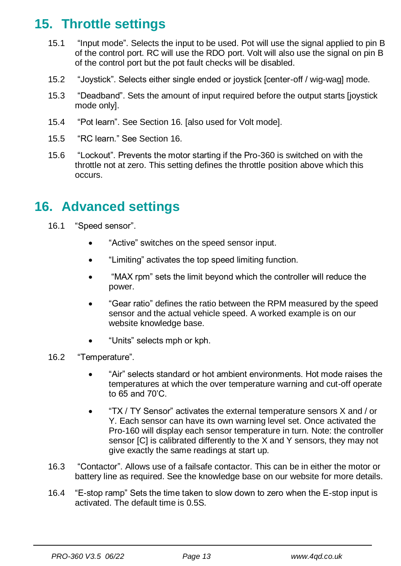### <span id="page-12-0"></span>**15. Throttle settings**

- 15.1 "Input mode". Selects the input to be used. Pot will use the signal applied to pin B of the control port. RC will use the RDO port. Volt will also use the signal on pin B of the control port but the pot fault checks will be disabled.
- 15.2 "Joystick". Selects either single ended or joystick [center-off / wig-wag] mode.
- 15.3 "Deadband". Sets the amount of input required before the output starts [joystick mode only].
- 15.4 "Pot learn". See Section 16. [also used for Volt mode].
- 15.5 "RC learn." See Section 16.
- 15.6 "Lockout". Prevents the motor starting if the Pro-360 is switched on with the throttle not at zero. This setting defines the throttle position above which this occurs.

### <span id="page-12-1"></span>**16. Advanced settings**

- 16.1 "Speed sensor".
	- "Active" switches on the speed sensor input.
	- "Limiting" activates the top speed limiting function.
	- "MAX rpm" sets the limit beyond which the controller will reduce the power.
	- "Gear ratio" defines the ratio between the RPM measured by the speed sensor and the actual vehicle speed. A worked example is on our website knowledge base.
	- "Units" selects mph or kph.
- 16.2 "Temperature".
	- "Air" selects standard or hot ambient environments. Hot mode raises the temperatures at which the over temperature warning and cut-off operate to 65 and 70'C.
	- "TX / TY Sensor" activates the external temperature sensors X and / or Y. Each sensor can have its own warning level set. Once activated the Pro-160 will display each sensor temperature in turn. Note: the controller sensor [C] is calibrated differently to the X and Y sensors, they may not give exactly the same readings at start up.
- 16.3 "Contactor". Allows use of a failsafe contactor. This can be in either the motor or battery line as required. See the knowledge base on our website for more details.
- 16.4 "E-stop ramp" Sets the time taken to slow down to zero when the E-stop input is activated. The default time is 0.5S.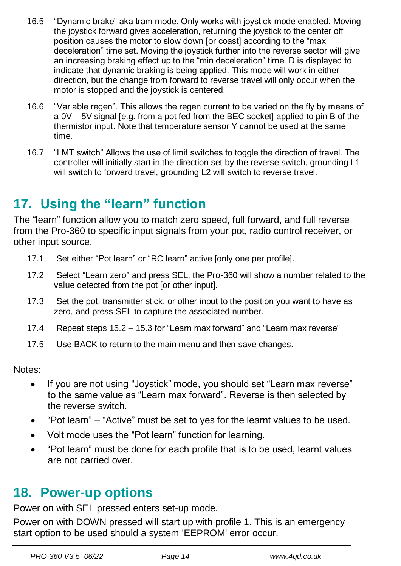- 16.5 "Dynamic brake" aka tram mode. Only works with joystick mode enabled. Moving the joystick forward gives acceleration, returning the joystick to the center off position causes the motor to slow down [or coast] according to the "max deceleration" time set. Moving the joystick further into the reverse sector will give an increasing braking effect up to the "min deceleration" time. D is displayed to indicate that dynamic braking is being applied. This mode will work in either direction, but the change from forward to reverse travel will only occur when the motor is stopped and the joystick is centered.
- 16.6 "Variable regen". This allows the regen current to be varied on the fly by means of a 0V – 5V signal [e.g. from a pot fed from the BEC socket] applied to pin B of the thermistor input. Note that temperature sensor Y cannot be used at the same time.
- 16.7 "LMT switch" Allows the use of limit switches to toggle the direction of travel. The controller will initially start in the direction set by the reverse switch, grounding L1 will switch to forward travel, grounding L2 will switch to reverse travel.

### <span id="page-13-0"></span>**17. Using the "learn" function**

The "learn" function allow you to match zero speed, full forward, and full reverse from the Pro-360 to specific input signals from your pot, radio control receiver, or other input source.

- 17.1 Set either "Pot learn" or "RC learn" active [only one per profile].
- 17.2 Select "Learn zero" and press SEL, the Pro-360 will show a number related to the value detected from the pot [or other input].
- 17.3 Set the pot, transmitter stick, or other input to the position you want to have as zero, and press SEL to capture the associated number.
- 17.4 Repeat steps 15.2 15.3 for "Learn max forward" and "Learn max reverse"
- 17.5 Use BACK to return to the main menu and then save changes.

Notes:

- If you are not using "Joystick" mode, you should set "Learn max reverse" to the same value as "Learn max forward". Reverse is then selected by the reverse switch.
- "Pot learn" "Active" must be set to yes for the learnt values to be used.
- Volt mode uses the "Pot learn" function for learning.
- "Pot learn" must be done for each profile that is to be used, learnt values are not carried over.

### <span id="page-13-1"></span>**18. Power-up options**

Power on with SEL pressed enters set-up mode.

Power on with DOWN pressed will start up with profile 1. This is an emergency start option to be used should a system 'EEPROM' error occur.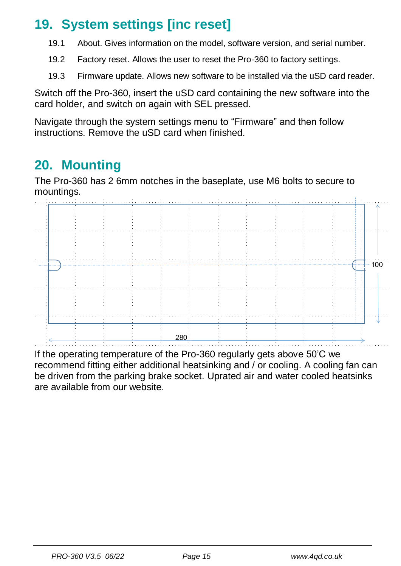# <span id="page-14-0"></span>**19. System settings [inc reset]**

- 19.1 About. Gives information on the model, software version, and serial number.
- 19.2 Factory reset. Allows the user to reset the Pro-360 to factory settings.
- 19.3 Firmware update. Allows new software to be installed via the uSD card reader.

Switch off the Pro-360, insert the uSD card containing the new software into the card holder, and switch on again with SEL pressed.

Navigate through the system settings menu to "Firmware" and then follow instructions. Remove the uSD card when finished.

### <span id="page-14-1"></span>**20. Mounting**

The Pro-360 has 2 6mm notches in the baseplate, use M6 bolts to secure to mountings.



<span id="page-14-2"></span>If the operating temperature of the Pro-360 regularly gets above 50'C we recommend fitting either additional heatsinking and / or cooling. A cooling fan can be driven from the parking brake socket. Uprated air and water cooled heatsinks are available from our website.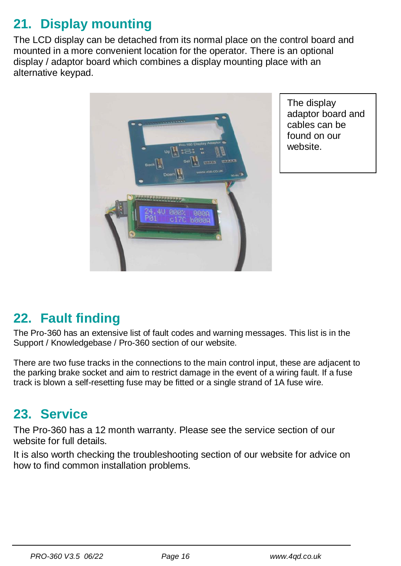# **21. Display mounting**

The LCD display can be detached from its normal place on the control board and mounted in a more convenient location for the operator. There is an optional display / adaptor board which combines a display mounting place with an alternative keypad.



The display adaptor board and cables can be found on our website.

# <span id="page-15-0"></span>**22. Fault finding**

The Pro-360 has an extensive list of fault codes and warning messages. This list is in the Support / Knowledgebase / Pro-360 section of our website.

There are two fuse tracks in the connections to the main control input, these are adjacent to the parking brake socket and aim to restrict damage in the event of a wiring fault. If a fuse track is blown a self-resetting fuse may be fitted or a single strand of 1A fuse wire.

### <span id="page-15-1"></span>**23. Service**

The Pro-360 has a 12 month warranty. Please see the service section of our website for full details.

It is also worth checking the troubleshooting section of our website for advice on how to find common installation problems.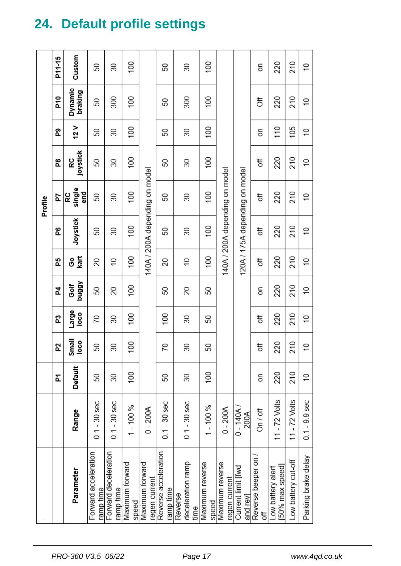|                      |                    |         |                |                 |                |             |           | Profile                        |                |         |                    |                 |
|----------------------|--------------------|---------|----------------|-----------------|----------------|-------------|-----------|--------------------------------|----------------|---------|--------------------|-----------------|
|                      |                    | Ā       | 5Z             | ឌ               | 4              | 59          | L         | 2d                             | æ.             | ፎ       | ድ<br>አ             | P11-15          |
|                      | Range              | Default | Small<br>loco  | Large<br>loco   | VBBnq<br>ទី    | ទ <u>ទី</u> | Joystick  | RC<br>single<br>end<br>6       | joystick<br>RC | 12V     | Dynamic<br>braking | Custom          |
|                      | $0.1 - 30$ sec     | 50      | 50             | 70              | 50             | 20          | 50        | 50                             | 50             | 50      | 50                 | SO              |
| Forward deceleration | $0.1 - 30$ sec     | 30      | 30             | 30              | 20             | $\cong$     | 30        | 30                             | 30             | 30      | 300                | 30              |
|                      | $1 - 100 %$        | 100     | 100            | 100             | 100            | 100         | 100       | 100                            | 100            | 100     | 100                | 100             |
|                      | $0 - 200A$         |         |                |                 |                |             |           | 140A / 200A depending on model |                |         |                    |                 |
| Reverse acceleration | $0.1 - 30$ sec     | 50      | 20             | $\overline{00}$ | 50             | 20          | 50        | 50                             | 50             | 50      | 50                 | 50              |
|                      | $0.1 - 30$ sec     | 30      | 30             | 30              | 20             | $\approx$   | 30        | 30                             | 30             | 30      | 300                | 30              |
|                      | $1 - 100 %$        | 100     | 50             | 50              | 50             | 100         | 100       | $\overline{00}$                | 100            | 100     | 100                | 100             |
|                      | $0 - 200A$         |         |                |                 |                |             |           | 140A / 200A depending on model |                |         |                    |                 |
|                      | $0 - 140A$<br>200A |         |                |                 |                |             |           | 120A / 175A depending on model |                |         |                    |                 |
|                      | On / off           | 5       | 5f             | 5ff             | δ              | 5f          | ð         | ð                              | ð              | 5       | ð                  | δ               |
|                      | 11 - $72$ Volts    | 220     | 220            | 220             | 220            | 220         | 220       | 220                            | 220            | 110     | 220                | 220             |
|                      | 11 $-72$ Volts     | 210     | 210            | 210             | 210            | 210         | 210       | 210                            | 210            | 105     | 210                | 210             |
| Parking brake delay  | $0.1 - 9.9$ sec    | \$      | $\overline{C}$ | $\overline{0}$  | $\overline{C}$ | $\approx$   | $\approx$ | $\approx$                      | $\approx$      | $\cong$ | $\approx$          | $\widetilde{=}$ |

# <span id="page-16-0"></span>**24. Default profile settings**

*PRO-360 V3.5 06/22 Page 17 www.4qd.co.uk*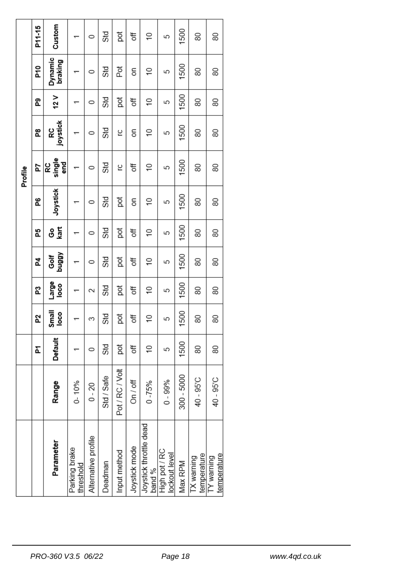|         | P11-15 | Custom              |                            | 0                   | Std        | pot             | ð             | $\approx$                        | 5                              | 1500       | 80                        | 80                        |
|---------|--------|---------------------|----------------------------|---------------------|------------|-----------------|---------------|----------------------------------|--------------------------------|------------|---------------------------|---------------------------|
|         | P10    | Dynamic<br>braking  |                            | 0                   | Std        | Pot             | δ             | $\approx$                        | 5                              | 1500       | 80                        | 80                        |
|         | ፎ      | 12V                 |                            | 0                   | Std        | pot             | ð             | ₽                                | 5                              | 1500       | 80                        | 80                        |
| Profile | æ.     | joystick<br>RC      |                            | 0                   | Std        | ပ္              | δ             | $\overline{C}$                   | 5                              | 1500       | 80                        | 80                        |
|         | 54     | single<br>end<br>RC |                            | 0                   | <b>Std</b> | ٢               | đ             | $\approx$                        | 5                              | 1500       | 80                        | 80                        |
|         | 6      | Joystick            |                            | $\circ$             | Std        | pot             | 5             | $\frac{1}{2}$                    | 5                              | 1500       | 80                        | 80                        |
|         | 운      | kart<br>ဒိ          |                            | 0                   | Std        | ğ               | ð             | $\approx$                        | 5                              | 1500       | 80                        | 80                        |
|         | 2      | VBBnq<br>Ğ<br>Golf  |                            | 0                   | Std        | pot             | ð             | $\overline{1}$                   | 5                              | 1500       | 80                        | 80                        |
|         | ជ      | Large<br>loco       |                            | 2                   | Std        | pot             | t             | $\overline{a}$                   | 5                              | 1500       | 80                        | 80                        |
|         | P.     | Small<br>loco       |                            | 3                   | Std        | pot             | ð             | $\overline{0}$                   | 5                              | 1500       | 80                        | 80                        |
|         | Ā      | Default             |                            | 0                   | Std        | pot             | ð             | $\overline{1}$                   | 5                              | 1500       | 80                        | 80                        |
|         |        | Range               | $0 - 10%$                  | $0 - 20$            | Std / Safe | Pot / RC / Volt | On / off      | $0 - 75%$                        | $0 - 99%$                      | 300 - 5000 | 40 - 95°C                 | 40 - 95°C                 |
|         |        | Parameter           | Parking brake<br>threshold | Alternative profile | Deadman    | Input method    | Joystick mode | Joystick throttle dead<br>band % | High pot / RC<br>lockout level | Max RPM    | temperature<br>TX warning | temperature<br>TY warning |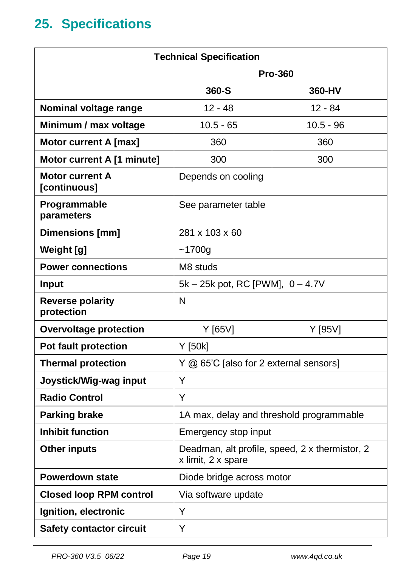# <span id="page-18-0"></span>**25. Specifications**

| <b>Technical Specification</b>        |                                                                      |                |  |  |  |  |  |  |
|---------------------------------------|----------------------------------------------------------------------|----------------|--|--|--|--|--|--|
|                                       |                                                                      | <b>Pro-360</b> |  |  |  |  |  |  |
|                                       | 360-S                                                                | 360-HV         |  |  |  |  |  |  |
| Nominal voltage range                 | $12 - 48$                                                            | $12 - 84$      |  |  |  |  |  |  |
| Minimum / max voltage                 | $10.5 - 65$                                                          | 10.5 - 96      |  |  |  |  |  |  |
| Motor current A [max]                 | 360                                                                  | 360            |  |  |  |  |  |  |
| Motor current A [1 minute]            | 300                                                                  | 300            |  |  |  |  |  |  |
| Motor current A<br>[continuous]       | Depends on cooling                                                   |                |  |  |  |  |  |  |
| Programmable<br>parameters            | See parameter table                                                  |                |  |  |  |  |  |  |
| Dimensions [mm]                       | 281 x 103 x 60                                                       |                |  |  |  |  |  |  |
| Weight [g]                            | ~1700a                                                               |                |  |  |  |  |  |  |
| <b>Power connections</b>              | M8 studs                                                             |                |  |  |  |  |  |  |
| Input                                 | 5k – 25k pot, RC [PWM], 0 – 4.7V                                     |                |  |  |  |  |  |  |
| <b>Reverse polarity</b><br>protection | N                                                                    |                |  |  |  |  |  |  |
| <b>Overvoltage protection</b>         | Y [65V]                                                              | Y [95V]        |  |  |  |  |  |  |
| <b>Pot fault protection</b>           | Y [50k]                                                              |                |  |  |  |  |  |  |
| <b>Thermal protection</b>             | Y @ 65'C [also for 2 external sensors]                               |                |  |  |  |  |  |  |
| Joystick/Wig-wag input                | Υ                                                                    |                |  |  |  |  |  |  |
| <b>Radio Control</b>                  | Y                                                                    |                |  |  |  |  |  |  |
| <b>Parking brake</b>                  | 1A max, delay and threshold programmable                             |                |  |  |  |  |  |  |
| <b>Inhibit function</b>               | Emergency stop input                                                 |                |  |  |  |  |  |  |
| <b>Other inputs</b>                   | Deadman, alt profile, speed, 2 x thermistor, 2<br>x limit, 2 x spare |                |  |  |  |  |  |  |
| <b>Powerdown state</b>                | Diode bridge across motor                                            |                |  |  |  |  |  |  |
| <b>Closed loop RPM control</b>        | Via software update                                                  |                |  |  |  |  |  |  |
| Ignition, electronic                  | Y                                                                    |                |  |  |  |  |  |  |
| Safety contactor circuit              | Y                                                                    |                |  |  |  |  |  |  |